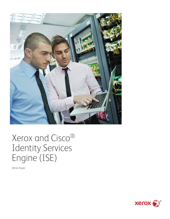

# Xerox and Cisco® Identity Services Engine (ISE)

White Paper

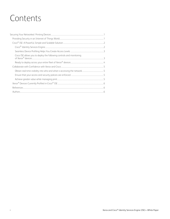## Contents

| Cisco ISE allows you to deploy the following controls and monitoring |  |
|----------------------------------------------------------------------|--|
|                                                                      |  |
|                                                                      |  |
|                                                                      |  |
|                                                                      |  |
|                                                                      |  |
|                                                                      |  |
|                                                                      |  |
|                                                                      |  |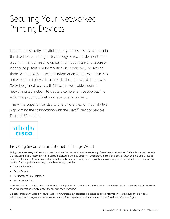# <span id="page-2-0"></span>Securing Your Networked Printing Devices

Information security is a vital part of your business. As a leader in the development of digital technology, Xerox has demonstrated a commitment of keeping digital information safe and secure by identifying potential vulnerabilities and proactively addressing them to limit risk. Still, securing information within your devices is not enough in today's data-intensive business world. This is why Xerox has joined forces with Cisco, the worldwide leader in networking technology, to create a comprehensive approach to enhancing your total network security environment.

This white paper is intended to give an overview of that initiative, highlighting the collaboration with the Cisco $^\circledR$  Identity Services Engine (ISE) product.



### <span id="page-2-1"></span>Providing Security in an Internet of Things World

Today, customers recognize Xerox as a trusted provider of secure solutions with a wide array of security capabilities. Xerox® office devices are built with the most comprehensive security in the industry that prevents unauthorized access and protects the confidentiality of documents and data through a robust set of features. Xerox adheres to the highest security standards through industry certifications and our printers are full system Common Criteria certified. Our comprehensive security is based on four key principles:

- Intrusion Prevention
- Device Detection
- Document and Data Protection
- External Partnerships

While Xerox provides comprehensive printer security that protects data sent to and from the printer over the network, many businesses recognize a need to bolster information security outside their devices at a network level.

Our collaboration with Cisco, a worldwide leader in network security, addresses this challenge, taking information security beyond your device to enhance security across your total network environment. This comprehensive solution is based on the Cisco Identity Services Engine.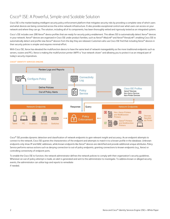## <span id="page-3-0"></span>Cisco® ISE: A Powerful, Simple and Scalable Solution

Cisco ISE is the market-leading intelligent security policy enforcement platform that mitigates security risks by providing a complete view of which users and what devices are being connected across the entire network infrastructure. It also provides exceptional control over what users can access on your network and where they can go. The solution, including all of its components, has been thoroughly vetted and rigorously tested as an integrated system.

Cisco's ISE includes over 200 Xerox® device profiles that are ready for security policy enablement. This allows ISE to automatically detect Xerox® devices in your network. Xerox® devices are organized in Cisco ISE under product families, such as Xerox® AltaLink® and Xerox® VersaLink®, enabling Cisco ISE to automatically detect and profile new Xerox® devices from the day they are released. Customers who use Cisco ISE find that including Xerox® devices in their security policies is simpler and requires minimal effort.

With Cisco ISE, Xerox has elevated the multifunction device to have the same level of network manageability as the more traditional endpoints such as servers, routers and PCs. Xerox is making the multifunction printer (MFP) a "true network citizen" and allowing you to protect it as an integral part of today's security imperatives.

### <span id="page-3-1"></span>**Cisco® Identity Services Engine**



Cisco<sup>®</sup> ISE provides dynamic detection and classification of network endpoints to gain relevant insight and accuracy. As an endpoint attempts to connect to the network, Cisco ISE queries the characteristics of the endpoint and attempts to match it to a known profile in the database. Unknown endpoints only show IP and MAC addresses, while known endpoints like Xerox® devices are identified and provide additional unique attributes. Policy Service performs various actions such as denying connection to out-of-policy endpoints, granting connections to known endpoints (e.g., Xerox) or controlling connectivity of endpoint ports.

To enable the Cisco ISE to function, the network administrator defines the network policies to comply with their organization's security guidelines. Whenever an out-of-policy attempt is made, an alert is generated and sent to the administrator to investigate. To address known or alleged security events, the administrator can utilize logs and reports to remediate if needed.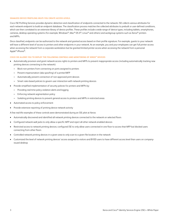#### <span id="page-4-0"></span>**Seamless Device Profiling Helps You Create Access Levels.**

Cisco ISE Profiling Services provides dynamic detection and classification of endpoints connected to the network. ISE collects various attributes for each network endpoint to build an endpoint database. The classification process matches the collected attributes to prebuilt or user-defined conditions, which are then correlated to an extensive library of device profiles. These profiles include a wide range of device types, including tablets, smartphones, cameras, desktop operating systems (for example, Windows®, Mac® OS X®, Linux® and others) and workgroup systems such as Xerox® printers and MFPs.

Once classified, endpoints can be authorized to the network and granted access based on their profile signature. For example, guests to your network will have a different level of access to printers and other endpoints in your network. As an example, you and your employees can get full printer access when accessing the network from a corporate workstation but be granted limited printer access when accessing the network from a personal Apple® iPhone®.

### <span id="page-4-1"></span>**Cisco ISE allows you to deploy the following controls and monitoring of Xerox® devices**

- Automatically provision and grant network access rights to printers and MFPs to prevent inappropriate access (including automatically tracking new printing devices connecting to the network):
	- Block non-printers from connecting on ports assigned to printers
	- Prevent impersonation (aka spoofing) of a printer/MFP
	- Automatically prevent connection of non-approved print devices
	- Smart rules-based policies to govern user interaction with network printing devices
- Provide simplified implementation of security policies for printers and MFPs by:
	- Providing real-time policy violation alerts and logging
	- Enforcing network segmentation policy
	- Isolating printing devices to prevent general access to printers and MFPs in restricted areas
- Automated access to policy enforcement
- Provide extensive reporting of printing device network activity

A few real-life examples of these controls were demonstrated during an ISE pilot at Xerox:

- Automatically discovered and identified all network printing devices connected to the network on selected floors
- Configured network wall jacks to only allow a specific MFP and reject all other network-enabled devices
- Restricted access to network printing devices; configured ISE to only allow users connected in one floor to access that MFP but blocked users connecting from other floors
- Controlled network printing devices in a given area to only scan to a given file location in the network
- Customized the level of network printing devices' access assigned to visitors and BYOD users to have different access level than users on companyissued desktop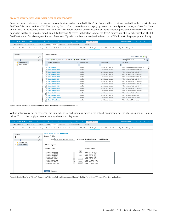#### <span id="page-5-0"></span>**Ready to deploy across your entire fleet of Xerox® devices**

Xerox has made it extremely easy to achieve an outstanding level of control with Cisco® ISE. Xerox and Cisco engineers worked together to validate over 200 Xerox® devices to work with ISE. When you buy Cisco ISE, you are ready to start deploying access and control policies across your Xerox® MFP and printer fleet. You do not have to configure ISE to work with Xerox® products and validate that all the device settings were entered correctly; we have done all of that for you ahead of time. Figure 1 illustrates an ISE screen that displays some of the Xerox® devices available for policy creation. The ISE Feed Service from Cisco keeps you informed of new Xerox® products and automatically adds them to your ISE solution in the proper product family.

| <b>Identity Services Engine</b><br>alulu.<br>Cisco | Home       | Context Visibility<br>• Operations                         | ▶ Policy                                           | ▼ Work Centers<br>Administration |                                                                                                                                                                                         | <b>License Warning A</b><br><b>O</b><br>$Q_{\rm c}$<br>$\bullet$<br>$\bullet$ |
|----------------------------------------------------|------------|------------------------------------------------------------|----------------------------------------------------|----------------------------------|-----------------------------------------------------------------------------------------------------------------------------------------------------------------------------------------|-------------------------------------------------------------------------------|
| ▶ Guest Access<br>▶ Network Access                 | ▶ TrustSec | <b>BYOD</b><br>$\blacktriangleright$ Profiler<br>▶ Posture | ▶ Device Administration                            | ▶ PassiveID                      |                                                                                                                                                                                         |                                                                               |
| Overview                                           |            |                                                            |                                                    |                                  | Ext Id Sources Network Devices Endpoint Classification Node Config Feeds ▶ Manual Scans ▶ Policy Elements Profiling Policies Policy Sets ▶ Troubleshoot Reports ▶ Settings Dictionaries |                                                                               |
| Profiling                                          |            | <b>Profiling Policies</b>                                  |                                                    |                                  |                                                                                                                                                                                         |                                                                               |
|                                                    | م          |                                                            |                                                    |                                  |                                                                                                                                                                                         | 粉<br>Selected 0   Total 1215<br>ö                                             |
| E-<br><= ≖                                         | ₩.         | <b>-PAdd Poplicate</b><br>Edit                             | $\blacktriangleright$ Delete $\blacktriangleright$ | Import C Export +                |                                                                                                                                                                                         | Show Quick Filter<br>18                                                       |
| <b>Profiling Policies</b>                          |            | Profiling Policy Name                                      |                                                    | ▲ Policy Enabled                 | System Type                                                                                                                                                                             | Description                                                                   |
| <b>Logical Profiles</b>                            |            |                                                            |                                                    |                                  |                                                                                                                                                                                         |                                                                               |
|                                                    |            | <b>Xerox-AltaLink</b>                                      |                                                    | Enabled                          | Administrator Created                                                                                                                                                                   | Xerox AltaLink Family SNMP and DHCP                                           |
|                                                    |            | Xerox-AltaLink-B8045                                       |                                                    | Enabled                          | Administrator Created                                                                                                                                                                   | Policy for Xerox-AltaLink-B8045 MFP                                           |
|                                                    |            | Xerox-AltaLink-B8055                                       |                                                    | Enabled                          | Administrator Created                                                                                                                                                                   | Policy for Xerox-AltaLink-B8055 MFP                                           |
|                                                    |            | Xerox-Altal ink-B8065                                      |                                                    | Enabled                          | Administrator Created                                                                                                                                                                   | Policy for Xerox-AltaLink-B8065 MFP                                           |
|                                                    |            | Xerox-AltaLink-B8075                                       |                                                    | Enabled                          | Administrator Created                                                                                                                                                                   | Policy for Xerox-AltaLink-B8075 MFP                                           |
|                                                    |            | Xerox-AltaLink-B8090                                       |                                                    | Enabled                          | Administrator Created                                                                                                                                                                   | Policy for Xerox-AltaLink-B8090 MFP                                           |
|                                                    |            | Xerox-AltaLink-C8030                                       |                                                    | Enabled                          | Administrator Created                                                                                                                                                                   | Policy for Xerox-AltaLink-C8030 MFP                                           |
|                                                    |            | Xerox-AltaLink-C8035                                       |                                                    | Enabled                          | Administrator Created                                                                                                                                                                   | Policy for Xerox-AltaLink-C8035 MFP                                           |
|                                                    |            | Xerox-AltaLink-C8045                                       |                                                    | Enabled                          | Administrator Created                                                                                                                                                                   | Policy for Xerox-AltaLink-C8045 MFP                                           |
|                                                    |            | Xerox-AltaLink-C8055                                       |                                                    | Enabled                          | Administrator Created                                                                                                                                                                   | Policy for Xerox-AltaLink-C8055 MFP                                           |
|                                                    |            | Xerox-AltaLink-C8070                                       |                                                    | Enabled                          | Administrator Created                                                                                                                                                                   | Policy for Xerox-AltaLink-C8070 MFP                                           |
|                                                    |            | <b>Xerox-AltaLink-Printer</b>                              |                                                    | Enabled                          | Administrator Created                                                                                                                                                                   | Policy for Xerox-AltaLink-Printer                                             |
|                                                    |            | <b>Xerox-Brenva-Printer</b>                                |                                                    | Enabled                          | Administrator Created                                                                                                                                                                   | Policy for Xerox-Brenva-Printer                                               |
|                                                    |            | <b>Xerox-C-Series-Printer</b>                              |                                                    | Enabled                          | Administrator Created                                                                                                                                                                   | Policy for Xerox-C-Series-Printer                                             |
|                                                    |            | <b>Xerox-CiPress-Printer</b>                               |                                                    | Enabled                          | Administrator Created                                                                                                                                                                   | Policy for Xerox-CiPress-Printer                                              |
|                                                    |            | $\Box$ Your Orleadana Desse                                |                                                    | $T = -1$                         | A shorter independence A A a shift with                                                                                                                                                 | Delimi fra Verra: Celen 1000 Derry MED                                        |

Figure 1: Over 200 Xerox® devices ready for policy implementation right out of the box.

Writing policies could not be easier. You can write policies for each individual device in the network or aggregate policies into logical groups (Figure 2 below). You can then apply access and security rules at the policy levels.

| ahah.<br>Cisco<br><b>Identity Services Engine</b><br>Home                     | ▶ Context Visibility<br>▶ Policy<br>Administration<br>▼ Work Centers<br>• Operations                                                                                                                                                                                                                                                                                                                                                                                                                                                                                                                                                                                                                          | License Warning A<br>$Q_{\rm{max}}$ | $\bullet$ $\bullet$ $\circ$ |  |
|-------------------------------------------------------------------------------|---------------------------------------------------------------------------------------------------------------------------------------------------------------------------------------------------------------------------------------------------------------------------------------------------------------------------------------------------------------------------------------------------------------------------------------------------------------------------------------------------------------------------------------------------------------------------------------------------------------------------------------------------------------------------------------------------------------|-------------------------------------|-----------------------------|--|
| ▶ Guest Access<br>▶ TrustSec<br>▶ Network Access                              | ▶ BYOD<br>$\blacktriangleright$ Profiler<br>▶ Posture<br>▶ Device Administration<br>▶ PassiveID                                                                                                                                                                                                                                                                                                                                                                                                                                                                                                                                                                                                               |                                     |                             |  |
| Overview                                                                      | Ext Id Sources Network Devices Endpoint Classification Node Config Feeds ▶ Manual Scans ▶ Policy Elements Profiling Policies Policy Sets ▶ Troubleshoot Reports ▶ Settings Dictionaries                                                                                                                                                                                                                                                                                                                                                                                                                                                                                                                       |                                     |                             |  |
| Profiling<br>م<br>6<br>⇔▼ 旧▼<br>Profiling Policies<br><b>Logical Profiles</b> | Logical Profiles List > New Logical Profile<br><b>Logical Profile</b><br>Includes AltaLink and VersaLink Families<br>Description<br>* Name   Xerox ConnectKey Devices Only<br>* Policy Assignment<br>Available Policies:<br>Assigned Policies:<br>$\geq$<br>Xerox-AltaLink-B8065<br>Xerox-AltaLink-C8030<br>Xerox-AltaLink-B8075<br>Xerox-AltaLink-C8035<br>$\,<$<br>Xerox-AltaLink-B8090<br>Xerox-AltaLink-C8045<br>Xerox-AltaLink-Printer<br>Xerox-AltaLink-C8055<br>Xerox-AltaLink-C8070<br>Xerox-Brenva-Printer<br>>><br>Xerox-C-Series-Printer<br>Xerox-VersaLink-C7000<br>Xerox-CiPress-Printer<br>Xerox-VersaLink-C7020<br>$<<$<br>Xerox-Color-1000-Press<br>Xerox-VersaLink-C7025<br>Cancel<br>Submit |                                     |                             |  |

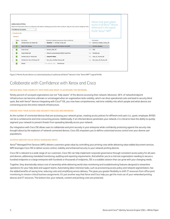|   | Exceptions (0)<br>Standard | <b>Authorization Policy</b><br>First Matched Rule Applies<br>$\mathbf{v}$ | Define the Authorization Policy by configuring rules based on identity groups and/or other conditions. Drag and drop rules to change the order. |       | Policies that grant global<br>access to all Xerox <sup>®</sup> devices<br>referenced in the Logical<br>Profile "Xerox® MFP" |
|---|----------------------------|---------------------------------------------------------------------------|-------------------------------------------------------------------------------------------------------------------------------------------------|-------|-----------------------------------------------------------------------------------------------------------------------------|
|   | Status                     | Rule Name                                                                 | Conditions (identity groups and other conditions)                                                                                               |       | Permissions                                                                                                                 |
|   | ×                          | Wireless Black List Default ISE                                           | <b>Blacklist AND Wireless Access ISE</b><br>Ħ.                                                                                                  | then. | Blackhole Wireless Access ISE                                                                                               |
| š | $\overline{\mathbf{v}}$    | <b>Xerox Print Devices</b>                                                | EndPoints:LogicalProfile EQUALS XeroxMFD                                                                                                        | then  | PermitAccessXerox                                                                                                           |
|   | ☑                          | <b>Guest Access</b>                                                       | Wireless MAB ISE                                                                                                                                | then  | CWA                                                                                                                         |
|   | $\vert \mathbf{v} \vert$   | Guest Portal Auth                                                         | Network Access:UseCase EQUALS Guest Flow                                                                                                        | then  | PermitAccess                                                                                                                |
|   | $\vert \mathbf{v} \vert$   | Profiled Cisco IP Phones ISE                                              | Cisco-IP-Phone                                                                                                                                  | then  | Cisco IP Phones ISE                                                                                                         |
|   | ⊽                          | Profiled Non Cisco IP Phones ISE                                          | If Non_Cisco_Profiled_Phones_ISE                                                                                                                | then  | Non_Cisco_IP_Phones_ISE                                                                                                     |
|   |                            |                                                                           |                                                                                                                                                 |       |                                                                                                                             |

Figure 3: Permit Access Xerox is a customized policy to authorize all Xerox® devices in the "Xerox MFP" Logical Profile.

### <span id="page-6-0"></span>Collaborate with Confidence with Xerox and Cisco

### <span id="page-6-1"></span>**Obtain real-time visibility into who and what is accessing the network.**

Ninety percent of surveyed organizations are not "fully aware" of the devices accessing their network. Moreover, 40% of network/endpoint infrastructure can become unknown or unmanaged when an organization lacks visibility, which can drive operational costs and lead to security blind spots. But with Xerox® devices integrating with Cisco® ISE, you now have comprehensive, real-time visibility into which people and what devices are connecting across the entire network infrastructure.

#### <span id="page-6-2"></span>**Ensure that your access and security policies are enforced.**

As the number of connected devices that are accessing your network grows, creating access policies for different end users (i.e., guest, employee, BYOD) can be a cumbersome and time-consuming process. Additionally, if an infected device penetrates your network, it is critical to have the ability to quickly segment your network to prevent threats from spreading laterally across your network.

Our integration with Cisco ISE allows users to collaborate and print securely in your enterprise while confidently protecting against the security risks brought about by the explosion of network-connected devices. Cisco ISE empowers you to define customized access control over your diverse user populations.

### <span id="page-6-3"></span>**Achieve greater value while managing print.**

Xerox® Managed Print Services (MPS) delivers customers great value by controlling your printing costs while delivering value-added document services. MPS leverages Cisco ISE to deliver access control, visibility and enhanced security to your network printing devices.

Cisco ISE is relevant to a wide range of our customers. Cisco ISE can help implement corporate governance through consistent access policy for all users and devices, addressing mandated monitoring, auditing and reporting requirements. And whether you're a mid-size organization needing to secure a hundred endpoints or a large enterprise with hundreds or thousands of endpoints, ISE is a scalable solution that can grow with your changing needs.

Together, they dramatically reduce cost of ownership while delivering world-class monitoring and troubleshooting features designed to streamline operations for your help desk and support teams. Automating labor-intensive tasks, such as provisioning access policy and network segmentation, has the added benefits of saving time, reducing costs and simplifying service delivery. This gives you greater flexibility to shift IT resources from office print monitoring to mission-critical business assignments. It's just another way that Xerox and Cisco help you get the most out of your networked printing devices and IT resources. The bottom line: your network, content and printing costs are protected.